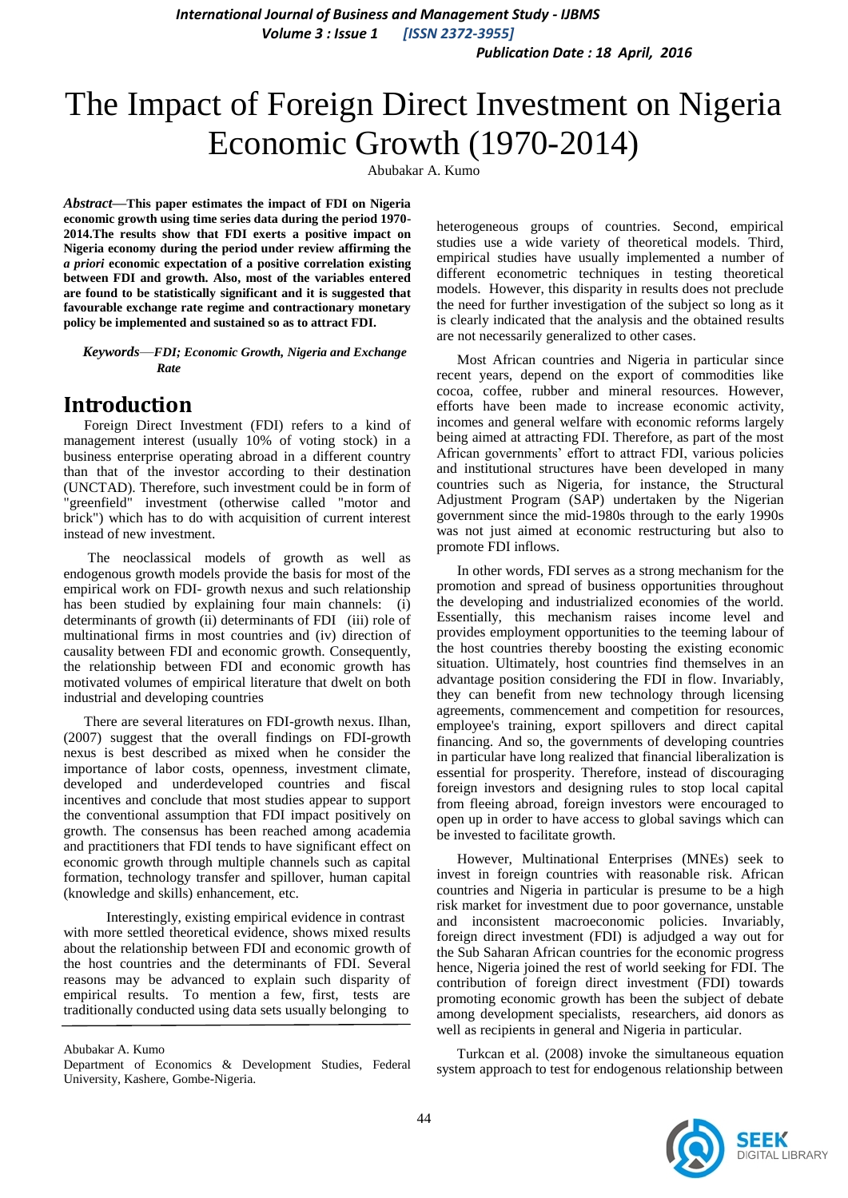*International Journal of Business and Management Study - IJBMS Volume 3 : Issue 1 [ISSN 2372-3955]*

*Publication Date : 18 April, 2016*

# The Impact of Foreign Direct Investment on Nigeria Economic Growth (1970-2014)

Abubakar A. Kumo

*Abstract***—This paper estimates the impact of FDI on Nigeria economic growth using time series data during the period 1970- 2014.The results show that FDI exerts a positive impact on Nigeria economy during the period under review affirming the**  *a priori* **economic expectation of a positive correlation existing between FDI and growth. Also, most of the variables entered are found to be statistically significant and it is suggested that favourable exchange rate regime and contractionary monetary policy be implemented and sustained so as to attract FDI.**

*Keywords*—*FDI; Economic Growth, Nigeria and Exchange Rate*

### **Introduction**

Foreign Direct Investment (FDI) refers to a kind of management interest (usually 10% of voting stock) in a business enterprise operating abroad in a different country than that of the investor according to their destination (UNCTAD). Therefore, such investment could be in form of "greenfield" investment (otherwise called "motor and brick") which has to do with acquisition of current interest instead of new investment.

The neoclassical models of growth as well as endogenous growth models provide the basis for most of the empirical work on FDI- growth nexus and such relationship has been studied by explaining four main channels: (i) determinants of growth (ii) determinants of FDI (iii) role of multinational firms in most countries and (iv) direction of causality between FDI and economic growth. Consequently, the relationship between FDI and economic growth has motivated volumes of empirical literature that dwelt on both industrial and developing countries

There are several literatures on FDI-growth nexus. Ilhan, (2007) suggest that the overall findings on FDI-growth nexus is best described as mixed when he consider the importance of labor costs, openness, investment climate, developed and underdeveloped countries and fiscal incentives and conclude that most studies appear to support the conventional assumption that FDI impact positively on growth. The consensus has been reached among academia and practitioners that FDI tends to have significant effect on economic growth through multiple channels such as capital formation, technology transfer and spillover, human capital (knowledge and skills) enhancement, etc.

 Interestingly, existing empirical evidence in contrast with more settled theoretical evidence, shows mixed results about the relationship between FDI and economic growth of the host countries and the determinants of FDI. Several reasons may be advanced to explain such disparity of empirical results. To mention a few, first, tests are traditionally conducted using data sets usually belonging to

Abubakar A. Kumo

Department of Economics & Development Studies, Federal University, Kashere, Gombe-Nigeria.

heterogeneous groups of countries. Second, empirical studies use a wide variety of theoretical models. Third, empirical studies have usually implemented a number of different econometric techniques in testing theoretical models. However, this disparity in results does not preclude the need for further investigation of the subject so long as it is clearly indicated that the analysis and the obtained results are not necessarily generalized to other cases.

Most African countries and Nigeria in particular since recent years, depend on the export of commodities like cocoa, coffee, rubber and mineral resources. However, efforts have been made to increase economic activity, incomes and general welfare with economic reforms largely being aimed at attracting FDI. Therefore, as part of the most African governments' effort to attract FDI, various policies and institutional structures have been developed in many countries such as Nigeria, for instance, the Structural Adjustment Program (SAP) undertaken by the Nigerian government since the mid-1980s through to the early 1990s was not just aimed at economic restructuring but also to promote FDI inflows.

In other words, FDI serves as a strong mechanism for the promotion and spread of business opportunities throughout the developing and industrialized economies of the world. Essentially, this mechanism raises income level and provides employment opportunities to the teeming labour of the host countries thereby boosting the existing economic situation. Ultimately, host countries find themselves in an advantage position considering the FDI in flow. Invariably, they can benefit from new technology through licensing agreements, commencement and competition for resources, employee's training, export spillovers and direct capital financing. And so, the governments of developing countries in particular have long realized that financial liberalization is essential for prosperity. Therefore, instead of discouraging foreign investors and designing rules to stop local capital from fleeing abroad, foreign investors were encouraged to open up in order to have access to global savings which can be invested to facilitate growth.

However, Multinational Enterprises (MNEs) seek to invest in foreign countries with reasonable risk. African countries and Nigeria in particular is presume to be a high risk market for investment due to poor governance, unstable and inconsistent macroeconomic policies. Invariably, foreign direct investment (FDI) is adjudged a way out for the Sub Saharan African countries for the economic progress hence, Nigeria joined the rest of world seeking for FDI. The contribution of foreign direct investment (FDI) towards promoting economic growth has been the subject of debate among development specialists, researchers, aid donors as well as recipients in general and Nigeria in particular.

Turkcan et al. (2008) invoke the simultaneous equation system approach to test for endogenous relationship between

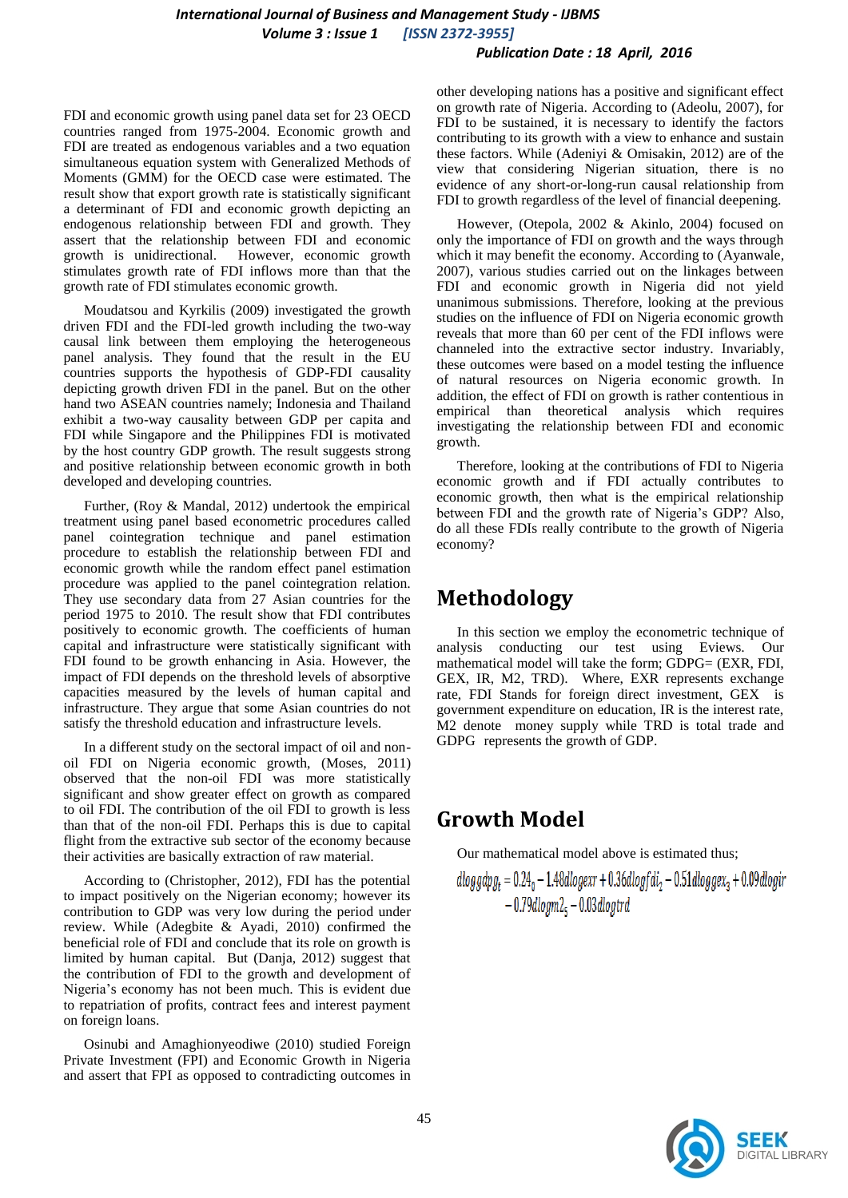### *International Journal of Business and Management Study - IJBMS Volume 3 : Issue 1 [ISSN 2372-3955]*

#### *Publication Date : 18 April, 2016*

FDI and economic growth using panel data set for 23 OECD countries ranged from 1975-2004. Economic growth and FDI are treated as endogenous variables and a two equation simultaneous equation system with Generalized Methods of Moments (GMM) for the OECD case were estimated. The result show that export growth rate is statistically significant a determinant of FDI and economic growth depicting an endogenous relationship between FDI and growth. They assert that the relationship between FDI and economic growth is unidirectional. However, economic growth stimulates growth rate of FDI inflows more than that the growth rate of FDI stimulates economic growth.

Moudatsou and Kyrkilis (2009) investigated the growth driven FDI and the FDI-led growth including the two-way causal link between them employing the heterogeneous panel analysis. They found that the result in the EU countries supports the hypothesis of GDP-FDI causality depicting growth driven FDI in the panel. But on the other hand two ASEAN countries namely; Indonesia and Thailand exhibit a two-way causality between GDP per capita and FDI while Singapore and the Philippines FDI is motivated by the host country GDP growth. The result suggests strong and positive relationship between economic growth in both developed and developing countries.

Further, (Roy & Mandal, 2012) undertook the empirical treatment using panel based econometric procedures called panel cointegration technique and panel estimation procedure to establish the relationship between FDI and economic growth while the random effect panel estimation procedure was applied to the panel cointegration relation. They use secondary data from 27 Asian countries for the period 1975 to 2010. The result show that FDI contributes positively to economic growth. The coefficients of human capital and infrastructure were statistically significant with FDI found to be growth enhancing in Asia. However, the impact of FDI depends on the threshold levels of absorptive capacities measured by the levels of human capital and infrastructure. They argue that some Asian countries do not satisfy the threshold education and infrastructure levels.

In a different study on the sectoral impact of oil and nonoil FDI on Nigeria economic growth, (Moses, 2011) observed that the non-oil FDI was more statistically significant and show greater effect on growth as compared to oil FDI. The contribution of the oil FDI to growth is less than that of the non-oil FDI. Perhaps this is due to capital flight from the extractive sub sector of the economy because their activities are basically extraction of raw material.

According to (Christopher, 2012), FDI has the potential to impact positively on the Nigerian economy; however its contribution to GDP was very low during the period under review. While (Adegbite & Ayadi, 2010) confirmed the beneficial role of FDI and conclude that its role on growth is limited by human capital. But (Danja, 2012) suggest that the contribution of FDI to the growth and development of Nigeria's economy has not been much. This is evident due to repatriation of profits, contract fees and interest payment on foreign loans.

Osinubi and Amaghionyeodiwe (2010) studied Foreign Private Investment (FPI) and Economic Growth in Nigeria and assert that FPI as opposed to contradicting outcomes in other developing nations has a positive and significant effect on growth rate of Nigeria. According to (Adeolu, 2007), for FDI to be sustained, it is necessary to identify the factors contributing to its growth with a view to enhance and sustain these factors. While (Adeniyi & Omisakin, 2012) are of the view that considering Nigerian situation, there is no evidence of any short-or-long-run causal relationship from FDI to growth regardless of the level of financial deepening.

However, (Otepola, 2002 & Akinlo, 2004) focused on only the importance of FDI on growth and the ways through which it may benefit the economy. According to (Ayanwale, 2007), various studies carried out on the linkages between FDI and economic growth in Nigeria did not yield unanimous submissions. Therefore, looking at the previous studies on the influence of FDI on Nigeria economic growth reveals that more than 60 per cent of the FDI inflows were channeled into the extractive sector industry. Invariably, these outcomes were based on a model testing the influence of natural resources on Nigeria economic growth. In addition, the effect of FDI on growth is rather contentious in empirical than theoretical analysis which requires investigating the relationship between FDI and economic growth.

Therefore, looking at the contributions of FDI to Nigeria economic growth and if FDI actually contributes to economic growth, then what is the empirical relationship between FDI and the growth rate of Nigeria's GDP? Also, do all these FDIs really contribute to the growth of Nigeria economy?

# **Methodology**

In this section we employ the econometric technique of analysis conducting our test using Eviews. Our mathematical model will take the form; GDPG= (EXR, FDI, GEX, IR, M2, TRD). Where, EXR represents exchange rate, FDI Stands for foreign direct investment, GEX is government expenditure on education, IR is the interest rate, M<sub>2</sub> denote money supply while TRD is total trade and GDPG represents the growth of GDP.

# **Growth Model**

Our mathematical model above is estimated thus;

$$
dloggdpg_t = 0.24_0 - 1.48dlogexr + 0.36dlogfdi_2 - 0.51dloggex_3 + 0.09dlogir - 0.79dlogm2_5 - 0.03dlogtrd
$$

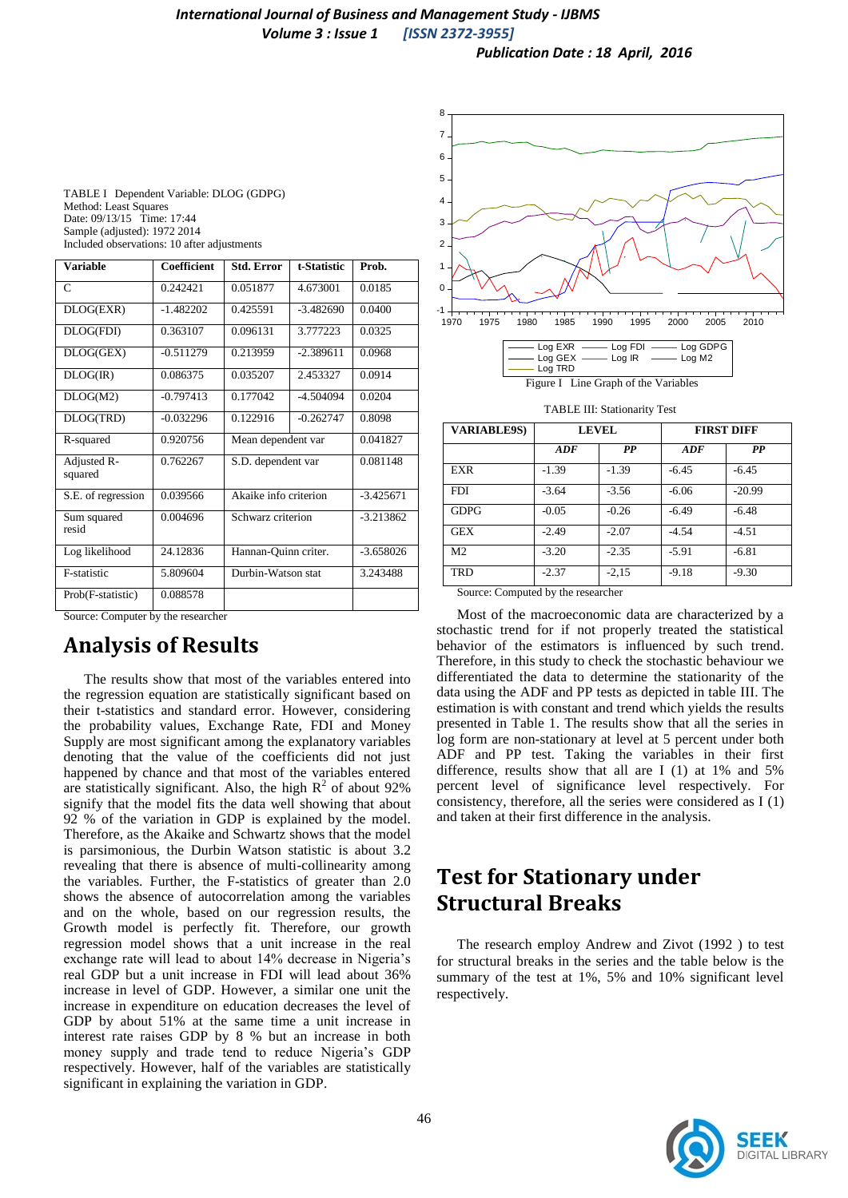*Publication Date : 18 April, 2016*

| TABLE I Dependent Variable: DLOG (GDPG)     |
|---------------------------------------------|
| Method: Least Squares                       |
| Date: 09/13/15 Time: 17:44                  |
| Sample (adjusted): 1972 2014                |
| Included observations: 10 after adjustments |

| <b>Variable</b>        | Coefficient | <b>Std. Error</b>     | t-Statistic | Prob.       |
|------------------------|-------------|-----------------------|-------------|-------------|
| C                      | 0.242421    | 0.051877              | 4.673001    | 0.0185      |
| DLOG(EXR)              | $-1.482202$ | 0.425591              | $-3.482690$ | 0.0400      |
| DLOG(FDI)              | 0.363107    | 0.096131              | 3.777223    | 0.0325      |
| DLOG(GEX)              | $-0.511279$ | 0.213959              | $-2.389611$ | 0.0968      |
| DLOG(R)                | 0.086375    | 0.035207              | 2.453327    | 0.0914      |
| DLOG(M2)               | $-0.797413$ | 0.177042              | $-4.504094$ | 0.0204      |
| DLOG(TRD)              | $-0.032296$ | 0.122916              | $-0.262747$ | 0.8098      |
| R-squared              | 0.920756    | Mean dependent var    |             | 0.041827    |
| Adjusted R-<br>squared | 0.762267    | S.D. dependent var    |             | 0.081148    |
| S.E. of regression     | 0.039566    | Akaike info criterion |             | $-3.425671$ |
| Sum squared<br>resid   | 0.004696    | Schwarz criterion     |             | $-3.213862$ |
| Log likelihood         | 24.12836    | Hannan-Quinn criter.  |             | $-3.658026$ |
| F-statistic            | 5.809604    | Durbin-Watson stat    |             | 3.243488    |
| Prob(F-statistic)      | 0.088578    |                       |             |             |

Source: Computer by the researcher

# **Analysis of Results**

The results show that most of the variables entered into the regression equation are statistically significant based on their t-statistics and standard error. However, considering the probability values, Exchange Rate, FDI and Money Supply are most significant among the explanatory variables denoting that the value of the coefficients did not just happened by chance and that most of the variables entered are statistically significant. Also, the high  $R^2$  of about 92% signify that the model fits the data well showing that about 92 % of the variation in GDP is explained by the model. Therefore, as the Akaike and Schwartz shows that the model is parsimonious, the Durbin Watson statistic is about 3.2 revealing that there is absence of multi-collinearity among the variables. Further, the F-statistics of greater than 2.0 shows the absence of autocorrelation among the variables and on the whole, based on our regression results, the Growth model is perfectly fit. Therefore, our growth regression model shows that a unit increase in the real exchange rate will lead to about 14% decrease in Nigeria's real GDP but a unit increase in FDI will lead about 36% increase in level of GDP. However, a similar one unit the increase in expenditure on education decreases the level of GDP by about 51% at the same time a unit increase in interest rate raises GDP by 8 % but an increase in both money supply and trade tend to reduce Nigeria's GDP respectively. However, half of the variables are statistically significant in explaining the variation in GDP.



| Log TRD      |           |                    |
|--------------|-----------|--------------------|
| Log GEX      | Log IR    | Log M <sub>2</sub> |
| $-0.9 - 0.1$ | $-99 - 1$ | Luy ODI            |

Figure I Line Graph of the Variables

TABLE III: Stationarity Test

| <b>VARIABLE9S)</b> | <b>LEVEL</b> |         | <b>FIRST DIFF</b> |          |
|--------------------|--------------|---------|-------------------|----------|
|                    | ADF          | PP      | ADF               | PP       |
| <b>EXR</b>         | $-1.39$      | $-1.39$ | $-6.45$           | $-6.45$  |
| <b>FDI</b>         | $-3.64$      | $-3.56$ | $-6.06$           | $-20.99$ |
| <b>GDPG</b>        | $-0.05$      | $-0.26$ | $-6.49$           | $-6.48$  |
| <b>GEX</b>         | $-2.49$      | $-2.07$ | $-4.54$           | $-4.51$  |
| M <sub>2</sub>     | $-3.20$      | $-2.35$ | $-5.91$           | $-6.81$  |
| TRD                | $-2.37$      | $-2,15$ | $-9.18$           | $-9.30$  |

Source: Computed by the researcher

Most of the macroeconomic data are characterized by a stochastic trend for if not properly treated the statistical behavior of the estimators is influenced by such trend. Therefore, in this study to check the stochastic behaviour we differentiated the data to determine the stationarity of the data using the ADF and PP tests as depicted in table III. The estimation is with constant and trend which yields the results presented in Table 1. The results show that all the series in log form are non-stationary at level at 5 percent under both ADF and PP test. Taking the variables in their first difference, results show that all are I (1) at 1% and 5% percent level of significance level respectively. For consistency, therefore, all the series were considered as I (1) and taken at their first difference in the analysis.

# **Test for Stationary under Structural Breaks**

The research employ Andrew and Zivot (1992 ) to test for structural breaks in the series and the table below is the summary of the test at 1%, 5% and 10% significant level respectively.